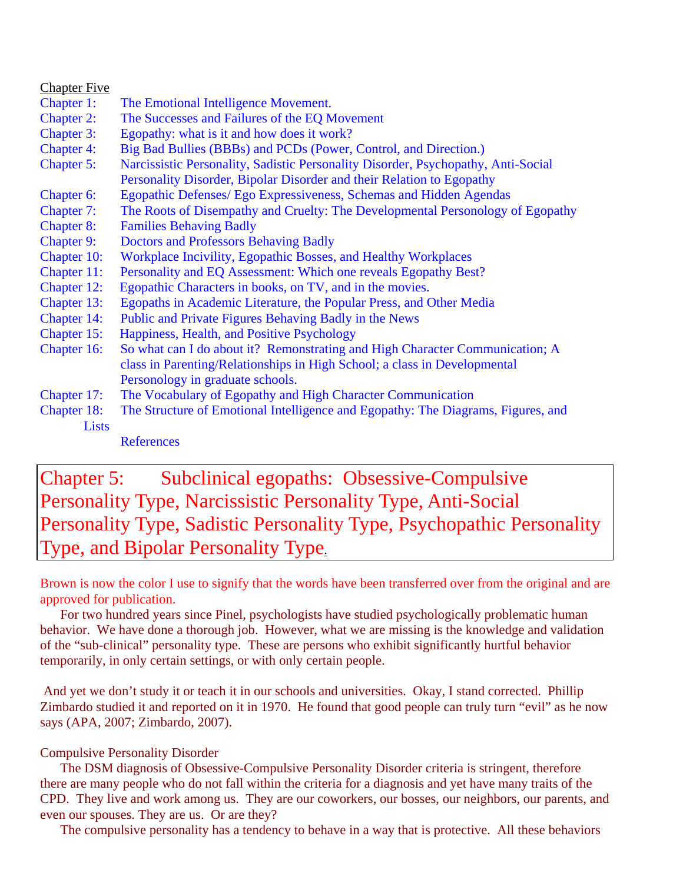| <b>Chapter Five</b> |                                                                                   |
|---------------------|-----------------------------------------------------------------------------------|
| Chapter 1:          | The Emotional Intelligence Movement.                                              |
| <b>Chapter 2:</b>   | The Successes and Failures of the EQ Movement                                     |
| Chapter 3:          | Egopathy: what is it and how does it work?                                        |
| <b>Chapter 4:</b>   | Big Bad Bullies (BBBs) and PCDs (Power, Control, and Direction.)                  |
| Chapter 5:          | Narcissistic Personality, Sadistic Personality Disorder, Psychopathy, Anti-Social |
|                     | Personality Disorder, Bipolar Disorder and their Relation to Egopathy             |
| Chapter 6:          | Egopathic Defenses/ Ego Expressiveness, Schemas and Hidden Agendas                |
| Chapter 7:          | The Roots of Disempathy and Cruelty: The Developmental Personology of Egopathy    |
| <b>Chapter 8:</b>   | <b>Families Behaving Badly</b>                                                    |
| <b>Chapter 9:</b>   | <b>Doctors and Professors Behaving Badly</b>                                      |
| Chapter 10:         | Workplace Incivility, Egopathic Bosses, and Healthy Workplaces                    |
| Chapter 11:         | Personality and EQ Assessment: Which one reveals Egopathy Best?                   |
| Chapter 12:         | Egopathic Characters in books, on TV, and in the movies.                          |
| Chapter 13:         | Egopaths in Academic Literature, the Popular Press, and Other Media               |
| Chapter 14:         | Public and Private Figures Behaving Badly in the News                             |
| Chapter 15:         | Happiness, Health, and Positive Psychology                                        |
| Chapter 16:         | So what can I do about it? Remonstrating and High Character Communication; A      |
|                     | class in Parenting/Relationships in High School; a class in Developmental         |
|                     | Personology in graduate schools.                                                  |
| Chapter 17:         | The Vocabulary of Egopathy and High Character Communication                       |
| Chapter 18:         | The Structure of Emotional Intelligence and Egopathy: The Diagrams, Figures, and  |
| Lists               |                                                                                   |
|                     | <b>References</b>                                                                 |
|                     |                                                                                   |

# Chapter 5: Subclinical egopaths: Obsessive-Compulsive Personality Type, Narcissistic Personality Type, Anti-Social Personality Type, Sadistic Personality Type, Psychopathic Personality Type, and Bipolar Personality Type.

Brown is now the color I use to signify that the words have been transferred over from the original and are approved for publication.

 For two hundred years since Pinel, psychologists have studied psychologically problematic human behavior. We have done a thorough job. However, what we are missing is the knowledge and validation of the "sub-clinical" personality type. These are persons who exhibit significantly hurtful behavior temporarily, in only certain settings, or with only certain people.

 And yet we don't study it or teach it in our schools and universities. Okay, I stand corrected. Phillip Zimbardo studied it and reported on it in 1970. He found that good people can truly turn "evil" as he now says (APA, 2007; Zimbardo, 2007).

### Compulsive Personality Disorder

 The DSM diagnosis of Obsessive-Compulsive Personality Disorder criteria is stringent, therefore there are many people who do not fall within the criteria for a diagnosis and yet have many traits of the CPD. They live and work among us. They are our coworkers, our bosses, our neighbors, our parents, and even our spouses. They are us. Or are they?

The compulsive personality has a tendency to behave in a way that is protective. All these behaviors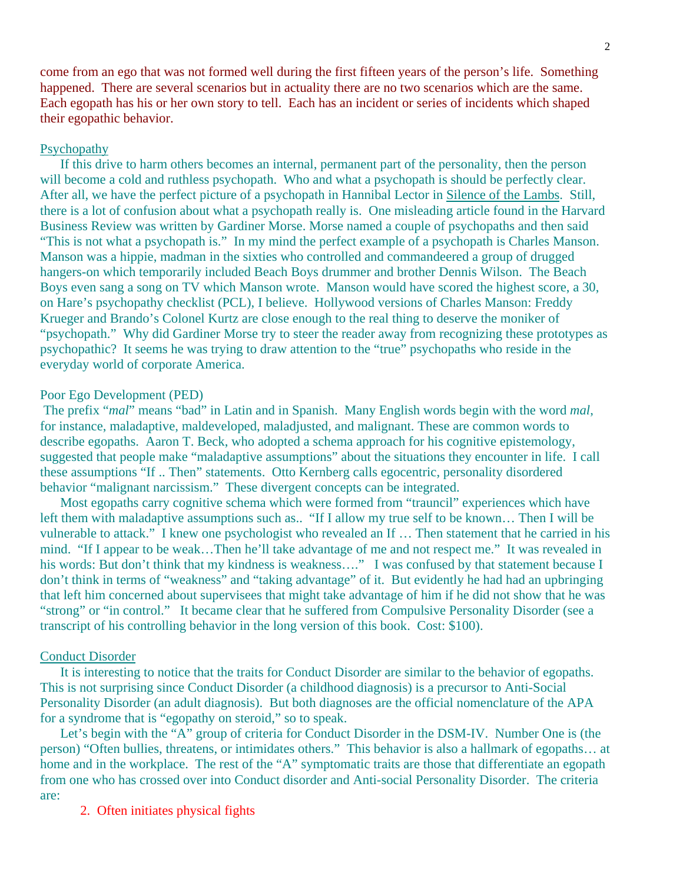come from an ego that was not formed well during the first fifteen years of the person's life. Something happened. There are several scenarios but in actuality there are no two scenarios which are the same. Each egopath has his or her own story to tell. Each has an incident or series of incidents which shaped their egopathic behavior.

### Psychopathy

 If this drive to harm others becomes an internal, permanent part of the personality, then the person will become a cold and ruthless psychopath. Who and what a psychopath is should be perfectly clear. After all, we have the perfect picture of a psychopath in Hannibal Lector in Silence of the Lambs. Still, there is a lot of confusion about what a psychopath really is. One misleading article found in the Harvard Business Review was written by Gardiner Morse. Morse named a couple of psychopaths and then said "This is not what a psychopath is." In my mind the perfect example of a psychopath is Charles Manson. Manson was a hippie, madman in the sixties who controlled and commandeered a group of drugged hangers-on which temporarily included Beach Boys drummer and brother Dennis Wilson. The Beach Boys even sang a song on TV which Manson wrote. Manson would have scored the highest score, a 30, on Hare's psychopathy checklist (PCL), I believe. Hollywood versions of Charles Manson: Freddy Krueger and Brando's Colonel Kurtz are close enough to the real thing to deserve the moniker of "psychopath." Why did Gardiner Morse try to steer the reader away from recognizing these prototypes as psychopathic? It seems he was trying to draw attention to the "true" psychopaths who reside in the everyday world of corporate America.

### Poor Ego Development (PED)

 The prefix "*mal*" means "bad" in Latin and in Spanish. Many English words begin with the word *mal*, for instance, maladaptive, maldeveloped, maladjusted, and malignant. These are common words to describe egopaths. Aaron T. Beck, who adopted a schema approach for his cognitive epistemology, suggested that people make "maladaptive assumptions" about the situations they encounter in life. I call these assumptions "If .. Then" statements. Otto Kernberg calls egocentric, personality disordered behavior "malignant narcissism." These divergent concepts can be integrated.

 Most egopaths carry cognitive schema which were formed from "trauncil" experiences which have left them with maladaptive assumptions such as.. "If I allow my true self to be known… Then I will be vulnerable to attack." I knew one psychologist who revealed an If … Then statement that he carried in his mind. "If I appear to be weak…Then he'll take advantage of me and not respect me." It was revealed in his words: But don't think that my kindness is weakness...." I was confused by that statement because I don't think in terms of "weakness" and "taking advantage" of it. But evidently he had had an upbringing that left him concerned about supervisees that might take advantage of him if he did not show that he was "strong" or "in control." It became clear that he suffered from Compulsive Personality Disorder (see a transcript of his controlling behavior in the long version of this book. Cost: \$100).

#### Conduct Disorder

 It is interesting to notice that the traits for Conduct Disorder are similar to the behavior of egopaths. This is not surprising since Conduct Disorder (a childhood diagnosis) is a precursor to Anti-Social Personality Disorder (an adult diagnosis). But both diagnoses are the official nomenclature of the APA for a syndrome that is "egopathy on steroid," so to speak.

 Let's begin with the "A" group of criteria for Conduct Disorder in the DSM-IV. Number One is (the person) "Often bullies, threatens, or intimidates others." This behavior is also a hallmark of egopaths… at home and in the workplace. The rest of the "A" symptomatic traits are those that differentiate an egopath from one who has crossed over into Conduct disorder and Anti-social Personality Disorder. The criteria are:

2. Often initiates physical fights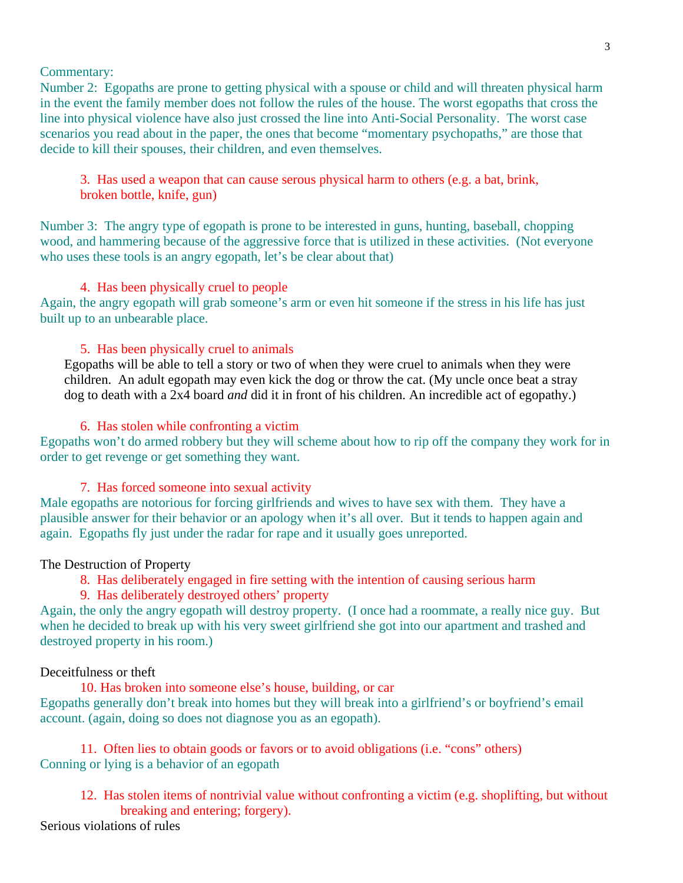Commentary:

Number 2: Egopaths are prone to getting physical with a spouse or child and will threaten physical harm in the event the family member does not follow the rules of the house. The worst egopaths that cross the line into physical violence have also just crossed the line into Anti-Social Personality. The worst case scenarios you read about in the paper, the ones that become "momentary psychopaths," are those that decide to kill their spouses, their children, and even themselves.

3. Has used a weapon that can cause serous physical harm to others (e.g. a bat, brink, broken bottle, knife, gun)

Number 3: The angry type of egopath is prone to be interested in guns, hunting, baseball, chopping wood, and hammering because of the aggressive force that is utilized in these activities. (Not everyone who uses these tools is an angry egopath, let's be clear about that)

### 4. Has been physically cruel to people

Again, the angry egopath will grab someone's arm or even hit someone if the stress in his life has just built up to an unbearable place.

### 5. Has been physically cruel to animals

Egopaths will be able to tell a story or two of when they were cruel to animals when they were children. An adult egopath may even kick the dog or throw the cat. (My uncle once beat a stray dog to death with a 2x4 board *and* did it in front of his children. An incredible act of egopathy.)

### 6. Has stolen while confronting a victim

Egopaths won't do armed robbery but they will scheme about how to rip off the company they work for in order to get revenge or get something they want.

### 7. Has forced someone into sexual activity

Male egopaths are notorious for forcing girlfriends and wives to have sex with them. They have a plausible answer for their behavior or an apology when it's all over. But it tends to happen again and again. Egopaths fly just under the radar for rape and it usually goes unreported.

### The Destruction of Property

8. Has deliberately engaged in fire setting with the intention of causing serious harm

### 9. Has deliberately destroyed others' property

Again, the only the angry egopath will destroy property. (I once had a roommate, a really nice guy. But when he decided to break up with his very sweet girlfriend she got into our apartment and trashed and destroyed property in his room.)

### Deceitfulness or theft

 10. Has broken into someone else's house, building, or car Egopaths generally don't break into homes but they will break into a girlfriend's or boyfriend's email account. (again, doing so does not diagnose you as an egopath).

 11. Often lies to obtain goods or favors or to avoid obligations (i.e. "cons" others) Conning or lying is a behavior of an egopath

 12. Has stolen items of nontrivial value without confronting a victim (e.g. shoplifting, but without breaking and entering; forgery).

Serious violations of rules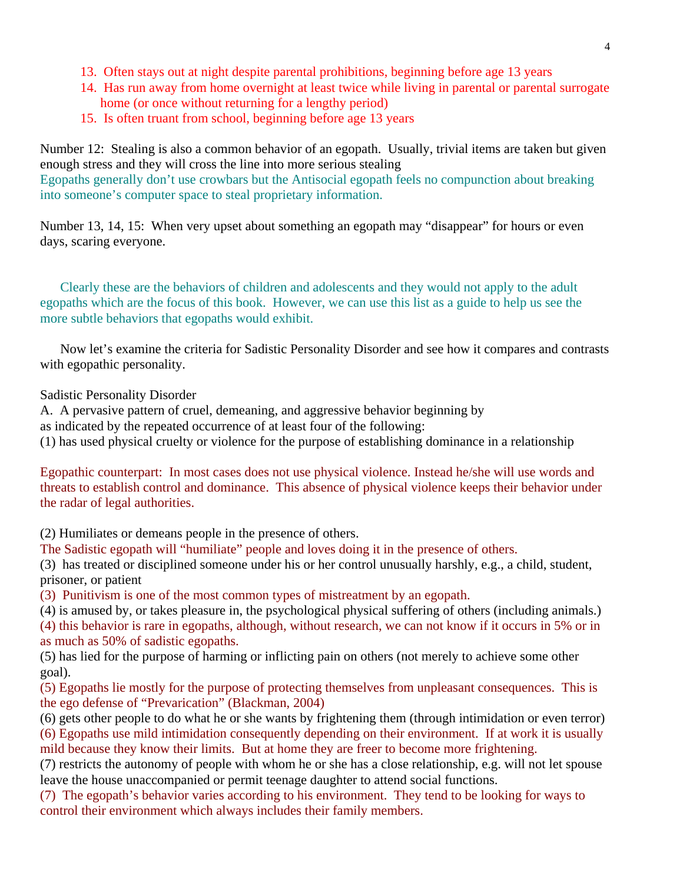- 13. Often stays out at night despite parental prohibitions, beginning before age 13 years
- 14. Has run away from home overnight at least twice while living in parental or parental surrogate home (or once without returning for a lengthy period)
- 15. Is often truant from school, beginning before age 13 years

Number 12: Stealing is also a common behavior of an egopath. Usually, trivial items are taken but given enough stress and they will cross the line into more serious stealing Egopaths generally don't use crowbars but the Antisocial egopath feels no compunction about breaking into someone's computer space to steal proprietary information.

Number 13, 14, 15: When very upset about something an egopath may "disappear" for hours or even days, scaring everyone.

 Clearly these are the behaviors of children and adolescents and they would not apply to the adult egopaths which are the focus of this book. However, we can use this list as a guide to help us see the more subtle behaviors that egopaths would exhibit.

 Now let's examine the criteria for Sadistic Personality Disorder and see how it compares and contrasts with egopathic personality.

Sadistic Personality Disorder

A. A pervasive pattern of cruel, demeaning, and aggressive behavior beginning by as indicated by the repeated occurrence of at least four of the following: (1) has used physical cruelty or violence for the purpose of establishing dominance in a relationship

Egopathic counterpart: In most cases does not use physical violence. Instead he/she will use words and threats to establish control and dominance. This absence of physical violence keeps their behavior under the radar of legal authorities.

(2) Humiliates or demeans people in the presence of others.

The Sadistic egopath will "humiliate" people and loves doing it in the presence of others.

(3) has treated or disciplined someone under his or her control unusually harshly, e.g., a child, student, prisoner, or patient

(3) Punitivism is one of the most common types of mistreatment by an egopath.

(4) is amused by, or takes pleasure in, the psychological physical suffering of others (including animals.) (4) this behavior is rare in egopaths, although, without research, we can not know if it occurs in 5% or in as much as 50% of sadistic egopaths.

(5) has lied for the purpose of harming or inflicting pain on others (not merely to achieve some other goal).

(5) Egopaths lie mostly for the purpose of protecting themselves from unpleasant consequences. This is the ego defense of "Prevarication" (Blackman, 2004)

(6) gets other people to do what he or she wants by frightening them (through intimidation or even terror) (6) Egopaths use mild intimidation consequently depending on their environment. If at work it is usually mild because they know their limits. But at home they are freer to become more frightening.

(7) restricts the autonomy of people with whom he or she has a close relationship, e.g. will not let spouse leave the house unaccompanied or permit teenage daughter to attend social functions.

(7) The egopath's behavior varies according to his environment. They tend to be looking for ways to control their environment which always includes their family members.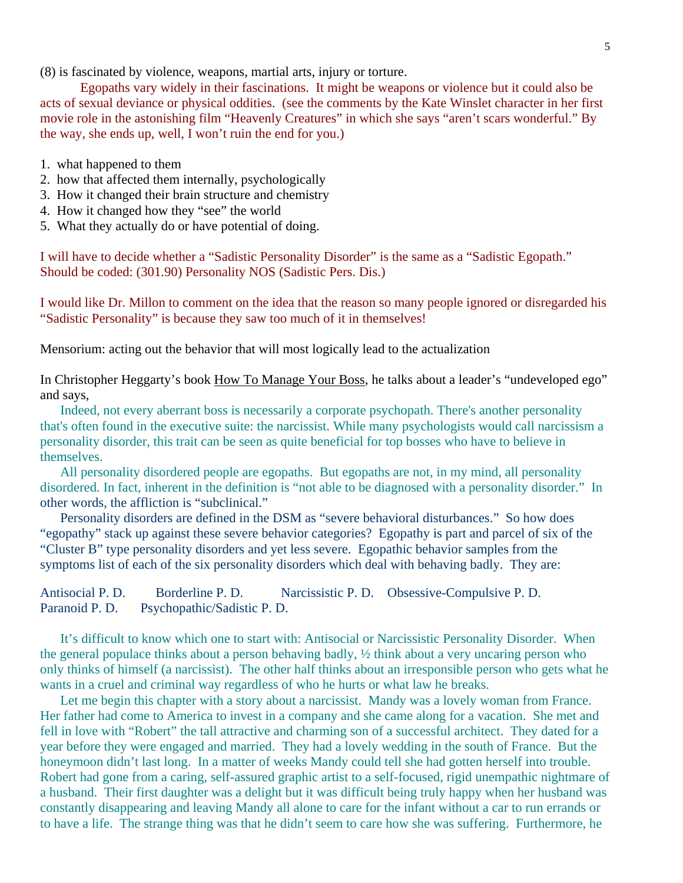(8) is fascinated by violence, weapons, martial arts, injury or torture.

 Egopaths vary widely in their fascinations. It might be weapons or violence but it could also be acts of sexual deviance or physical oddities. (see the comments by the Kate Winslet character in her first movie role in the astonishing film "Heavenly Creatures" in which she says "aren't scars wonderful." By the way, she ends up, well, I won't ruin the end for you.)

- 1. what happened to them
- 2. how that affected them internally, psychologically
- 3. How it changed their brain structure and chemistry
- 4. How it changed how they "see" the world
- 5. What they actually do or have potential of doing.

I will have to decide whether a "Sadistic Personality Disorder" is the same as a "Sadistic Egopath." Should be coded: (301.90) Personality NOS (Sadistic Pers. Dis.)

I would like Dr. Millon to comment on the idea that the reason so many people ignored or disregarded his "Sadistic Personality" is because they saw too much of it in themselves!

Mensorium: acting out the behavior that will most logically lead to the actualization

In Christopher Heggarty's book How To Manage Your Boss, he talks about a leader's "undeveloped ego" and says,

 Indeed, not every aberrant boss is necessarily a corporate psychopath. There's another personality that's often found in the executive suite: the narcissist. While many psychologists would call narcissism a personality disorder, this trait can be seen as quite beneficial for top bosses who have to believe in themselves.

 All personality disordered people are egopaths. But egopaths are not, in my mind, all personality disordered. In fact, inherent in the definition is "not able to be diagnosed with a personality disorder." In other words, the affliction is "subclinical."

 Personality disorders are defined in the DSM as "severe behavioral disturbances." So how does "egopathy" stack up against these severe behavior categories? Egopathy is part and parcel of six of the "Cluster B" type personality disorders and yet less severe. Egopathic behavior samples from the symptoms list of each of the six personality disorders which deal with behaving badly. They are:

```
Antisocial P. D. Borderline P. D. Narcissistic P. D. Obsessive-Compulsive P. D. 
Paranoid P. D. Psychopathic/Sadistic P. D.
```
 It's difficult to know which one to start with: Antisocial or Narcissistic Personality Disorder. When the general populace thinks about a person behaving badly, ½ think about a very uncaring person who only thinks of himself (a narcissist). The other half thinks about an irresponsible person who gets what he wants in a cruel and criminal way regardless of who he hurts or what law he breaks.

 Let me begin this chapter with a story about a narcissist. Mandy was a lovely woman from France. Her father had come to America to invest in a company and she came along for a vacation. She met and fell in love with "Robert" the tall attractive and charming son of a successful architect. They dated for a year before they were engaged and married. They had a lovely wedding in the south of France. But the honeymoon didn't last long. In a matter of weeks Mandy could tell she had gotten herself into trouble. Robert had gone from a caring, self-assured graphic artist to a self-focused, rigid unempathic nightmare of a husband. Their first daughter was a delight but it was difficult being truly happy when her husband was constantly disappearing and leaving Mandy all alone to care for the infant without a car to run errands or to have a life. The strange thing was that he didn't seem to care how she was suffering. Furthermore, he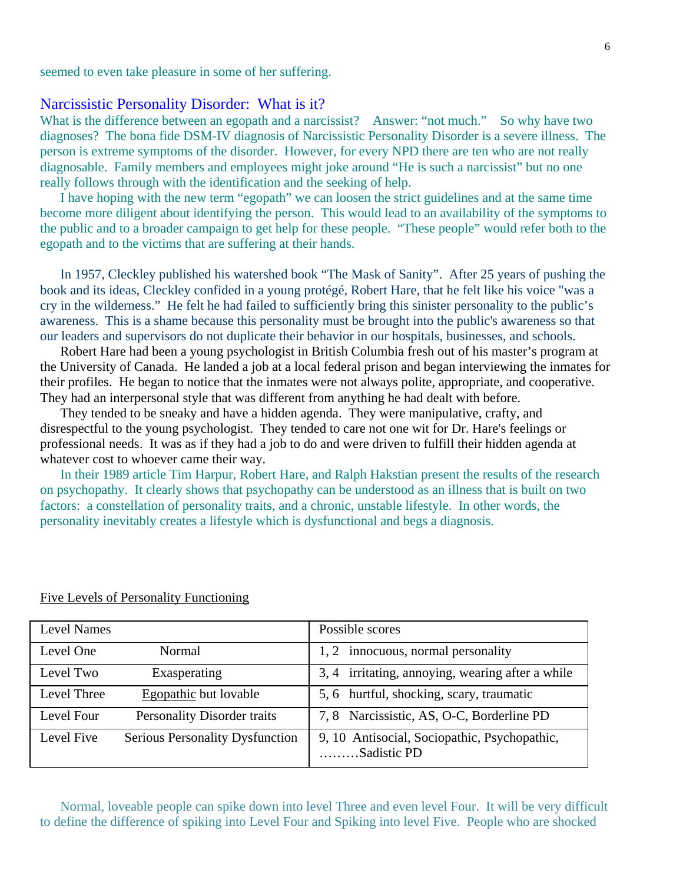seemed to even take pleasure in some of her suffering.

### Narcissistic Personality Disorder: What is it?

What is the difference between an egopath and a narcissist? Answer: "not much." So why have two diagnoses? The bona fide DSM-IV diagnosis of Narcissistic Personality Disorder is a severe illness. The person is extreme symptoms of the disorder. However, for every NPD there are ten who are not really diagnosable. Family members and employees might joke around "He is such a narcissist" but no one really follows through with the identification and the seeking of help.

 I have hoping with the new term "egopath" we can loosen the strict guidelines and at the same time become more diligent about identifying the person. This would lead to an availability of the symptoms to the public and to a broader campaign to get help for these people. "These people" would refer both to the egopath and to the victims that are suffering at their hands.

 In 1957, Cleckley published his watershed book "The Mask of Sanity". After 25 years of pushing the book and its ideas, Cleckley confided in a young protégé, Robert Hare, that he felt like his voice "was a cry in the wilderness." He felt he had failed to sufficiently bring this sinister personality to the public's awareness. This is a shame because this personality must be brought into the public's awareness so that our leaders and supervisors do not duplicate their behavior in our hospitals, businesses, and schools.

 Robert Hare had been a young psychologist in British Columbia fresh out of his master's program at the University of Canada. He landed a job at a local federal prison and began interviewing the inmates for their profiles. He began to notice that the inmates were not always polite, appropriate, and cooperative. They had an interpersonal style that was different from anything he had dealt with before.

 They tended to be sneaky and have a hidden agenda. They were manipulative, crafty, and disrespectful to the young psychologist. They tended to care not one wit for Dr. Hare's feelings or professional needs. It was as if they had a job to do and were driven to fulfill their hidden agenda at whatever cost to whoever came their way.

 In their 1989 article Tim Harpur, Robert Hare, and Ralph Hakstian present the results of the research on psychopathy. It clearly shows that psychopathy can be understood as an illness that is built on two factors: a constellation of personality traits, and a chronic, unstable lifestyle. In other words, the personality inevitably creates a lifestyle which is dysfunctional and begs a diagnosis.

| <b>Level Names</b> |                                 | Possible scores                                             |  |
|--------------------|---------------------------------|-------------------------------------------------------------|--|
| Level One          | Normal                          | innocuous, normal personality<br>1.2                        |  |
| Level Two          | Exasperating                    | 3, 4 irritating, annoying, wearing after a while            |  |
| Level Three        | Egopathic but lovable           | 5, 6 hurtful, shocking, scary, traumatic                    |  |
| Level Four         | Personality Disorder traits     | 7, 8 Narcissistic, AS, O-C, Borderline PD                   |  |
| Level Five         | Serious Personality Dysfunction | 9, 10 Antisocial, Sociopathic, Psychopathic,<br>Sadistic PD |  |

#### Five Levels of Personality Functioning

 Normal, loveable people can spike down into level Three and even level Four. It will be very difficult to define the difference of spiking into Level Four and Spiking into level Five. People who are shocked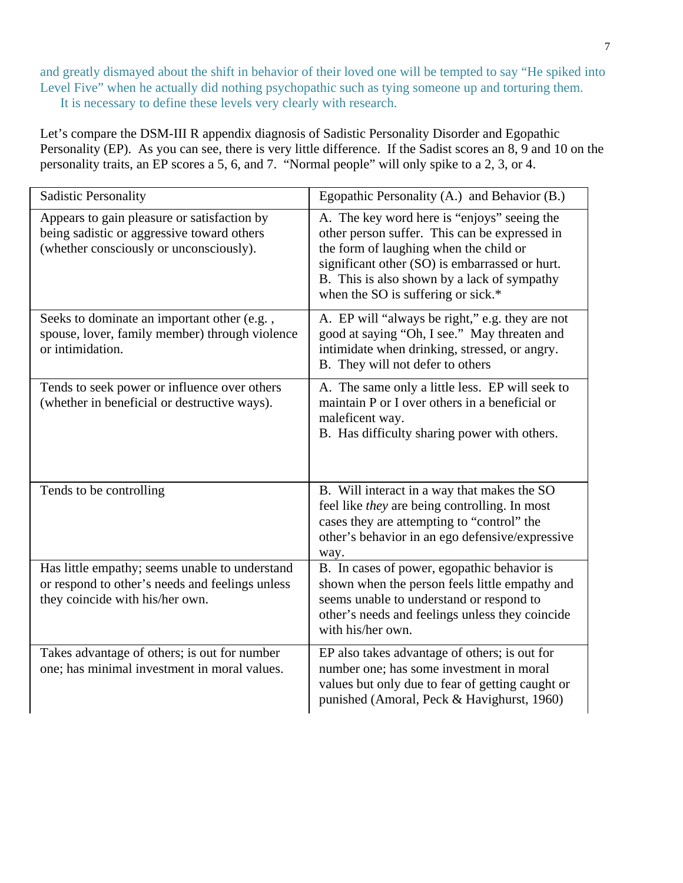and greatly dismayed about the shift in behavior of their loved one will be tempted to say "He spiked into Level Five" when he actually did nothing psychopathic such as tying someone up and torturing them. It is necessary to define these levels very clearly with research.

Let's compare the DSM-III R appendix diagnosis of Sadistic Personality Disorder and Egopathic Personality (EP). As you can see, there is very little difference. If the Sadist scores an 8, 9 and 10 on the personality traits, an EP scores a 5, 6, and 7. "Normal people" will only spike to a 2, 3, or 4.

| <b>Sadistic Personality</b>                                                                                                          | Egopathic Personality (A.) and Behavior (B.)                                                                                                                                                                                                                                  |  |
|--------------------------------------------------------------------------------------------------------------------------------------|-------------------------------------------------------------------------------------------------------------------------------------------------------------------------------------------------------------------------------------------------------------------------------|--|
| Appears to gain pleasure or satisfaction by<br>being sadistic or aggressive toward others<br>(whether consciously or unconsciously). | A. The key word here is "enjoys" seeing the<br>other person suffer. This can be expressed in<br>the form of laughing when the child or<br>significant other (SO) is embarrassed or hurt.<br>B. This is also shown by a lack of sympathy<br>when the SO is suffering or sick.* |  |
| Seeks to dominate an important other (e.g.,<br>spouse, lover, family member) through violence<br>or intimidation.                    | A. EP will "always be right," e.g. they are not<br>good at saying "Oh, I see." May threaten and<br>intimidate when drinking, stressed, or angry.<br>B. They will not defer to others                                                                                          |  |
| Tends to seek power or influence over others<br>(whether in beneficial or destructive ways).                                         | A. The same only a little less. EP will seek to<br>maintain P or I over others in a beneficial or<br>maleficent way.<br>B. Has difficulty sharing power with others.                                                                                                          |  |
| Tends to be controlling                                                                                                              | B. Will interact in a way that makes the SO<br>feel like they are being controlling. In most<br>cases they are attempting to "control" the<br>other's behavior in an ego defensive/expressive<br>way.                                                                         |  |
| Has little empathy; seems unable to understand<br>or respond to other's needs and feelings unless<br>they coincide with his/her own. | B. In cases of power, egopathic behavior is<br>shown when the person feels little empathy and<br>seems unable to understand or respond to<br>other's needs and feelings unless they coincide<br>with his/her own.                                                             |  |
| Takes advantage of others; is out for number<br>one; has minimal investment in moral values.                                         | EP also takes advantage of others; is out for<br>number one; has some investment in moral<br>values but only due to fear of getting caught or<br>punished (Amoral, Peck & Havighurst, 1960)                                                                                   |  |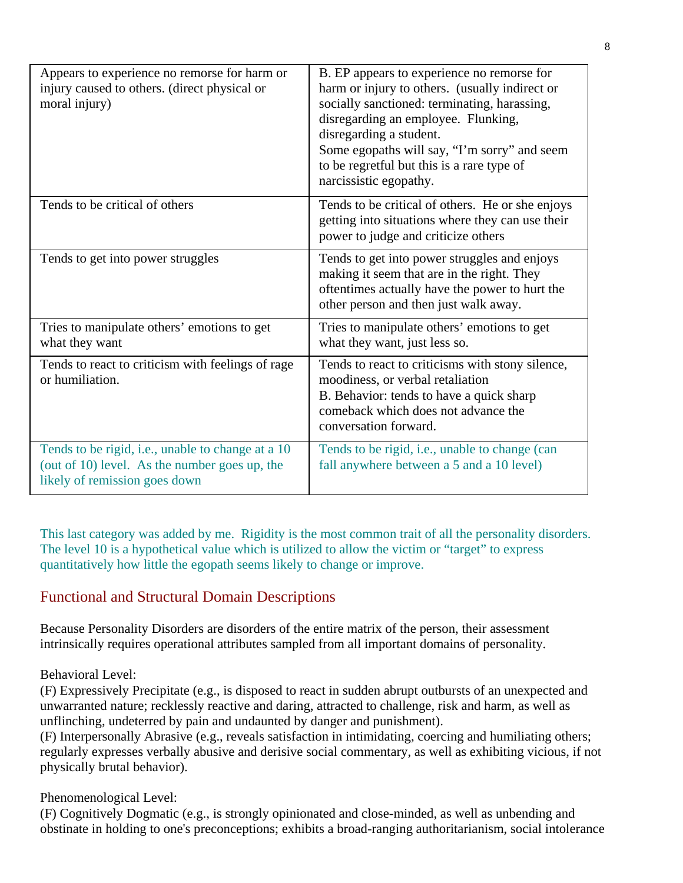| Appears to experience no remorse for harm or<br>injury caused to others. (direct physical or<br>moral injury)                       | B. EP appears to experience no remorse for<br>harm or injury to others. (usually indirect or<br>socially sanctioned: terminating, harassing,<br>disregarding an employee. Flunking,<br>disregarding a student.<br>Some egopaths will say, "I'm sorry" and seem<br>to be regretful but this is a rare type of<br>narcissistic egopathy. |
|-------------------------------------------------------------------------------------------------------------------------------------|----------------------------------------------------------------------------------------------------------------------------------------------------------------------------------------------------------------------------------------------------------------------------------------------------------------------------------------|
| Tends to be critical of others                                                                                                      | Tends to be critical of others. He or she enjoys<br>getting into situations where they can use their<br>power to judge and criticize others                                                                                                                                                                                            |
| Tends to get into power struggles                                                                                                   | Tends to get into power struggles and enjoys<br>making it seem that are in the right. They<br>oftentimes actually have the power to hurt the<br>other person and then just walk away.                                                                                                                                                  |
| Tries to manipulate others' emotions to get<br>what they want                                                                       | Tries to manipulate others' emotions to get<br>what they want, just less so.                                                                                                                                                                                                                                                           |
| Tends to react to criticism with feelings of rage<br>or humiliation.                                                                | Tends to react to criticisms with stony silence,<br>moodiness, or verbal retaliation<br>B. Behavior: tends to have a quick sharp<br>comeback which does not advance the<br>conversation forward.                                                                                                                                       |
| Tends to be rigid, i.e., unable to change at a 10<br>(out of 10) level. As the number goes up, the<br>likely of remission goes down | Tends to be rigid, i.e., unable to change (can<br>fall anywhere between a 5 and a 10 level)                                                                                                                                                                                                                                            |

This last category was added by me. Rigidity is the most common trait of all the personality disorders. The level 10 is a hypothetical value which is utilized to allow the victim or "target" to express quantitatively how little the egopath seems likely to change or improve.

# Functional and Structural Domain Descriptions

Because Personality Disorders are disorders of the entire matrix of the person, their assessment intrinsically requires operational attributes sampled from all important domains of personality.

### Behavioral Level:

(F) Expressively Precipitate (e.g., is disposed to react in sudden abrupt outbursts of an unexpected and unwarranted nature; recklessly reactive and daring, attracted to challenge, risk and harm, as well as unflinching, undeterred by pain and undaunted by danger and punishment).

(F) Interpersonally Abrasive (e.g., reveals satisfaction in intimidating, coercing and humiliating others; regularly expresses verbally abusive and derisive social commentary, as well as exhibiting vicious, if not physically brutal behavior).

## Phenomenological Level:

(F) Cognitively Dogmatic (e.g., is strongly opinionated and close-minded, as well as unbending and obstinate in holding to one's preconceptions; exhibits a broad-ranging authoritarianism, social intolerance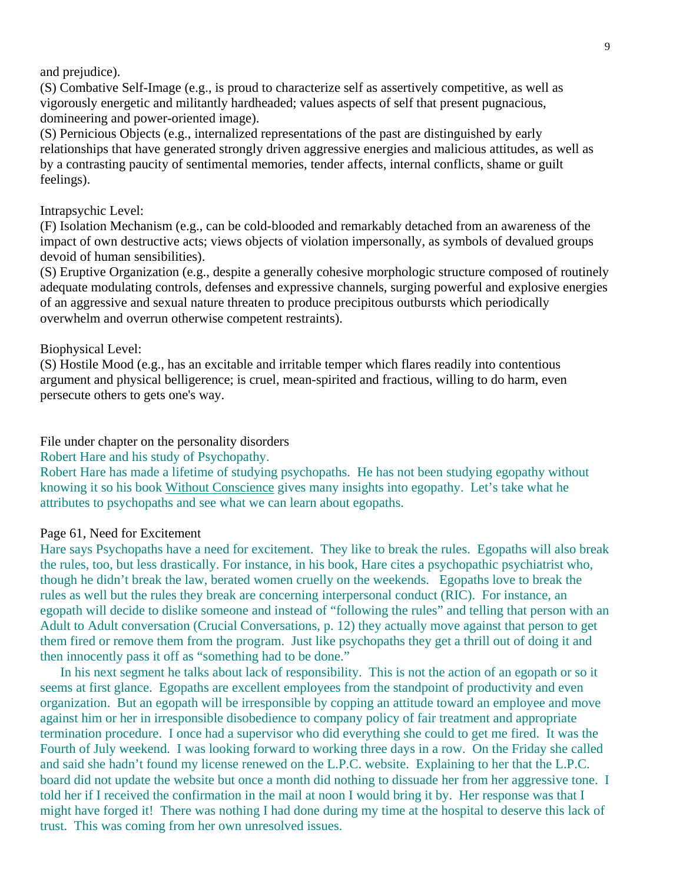and prejudice).

(S) Combative Self-Image (e.g., is proud to characterize self as assertively competitive, as well as vigorously energetic and militantly hardheaded; values aspects of self that present pugnacious, domineering and power-oriented image).

(S) Pernicious Objects (e.g., internalized representations of the past are distinguished by early relationships that have generated strongly driven aggressive energies and malicious attitudes, as well as by a contrasting paucity of sentimental memories, tender affects, internal conflicts, shame or guilt feelings).

#### Intrapsychic Level:

(F) Isolation Mechanism (e.g., can be cold-blooded and remarkably detached from an awareness of the impact of own destructive acts; views objects of violation impersonally, as symbols of devalued groups devoid of human sensibilities).

(S) Eruptive Organization (e.g., despite a generally cohesive morphologic structure composed of routinely adequate modulating controls, defenses and expressive channels, surging powerful and explosive energies of an aggressive and sexual nature threaten to produce precipitous outbursts which periodically overwhelm and overrun otherwise competent restraints).

### Biophysical Level:

(S) Hostile Mood (e.g., has an excitable and irritable temper which flares readily into contentious argument and physical belligerence; is cruel, mean-spirited and fractious, willing to do harm, even persecute others to gets one's way.

File under chapter on the personality disorders

Robert Hare and his study of Psychopathy.

Robert Hare has made a lifetime of studying psychopaths. He has not been studying egopathy without knowing it so his book Without Conscience gives many insights into egopathy. Let's take what he attributes to psychopaths and see what we can learn about egopaths.

### Page 61, Need for Excitement

Hare says Psychopaths have a need for excitement. They like to break the rules. Egopaths will also break the rules, too, but less drastically. For instance, in his book, Hare cites a psychopathic psychiatrist who, though he didn't break the law, berated women cruelly on the weekends. Egopaths love to break the rules as well but the rules they break are concerning interpersonal conduct (RIC). For instance, an egopath will decide to dislike someone and instead of "following the rules" and telling that person with an Adult to Adult conversation (Crucial Conversations, p. 12) they actually move against that person to get them fired or remove them from the program. Just like psychopaths they get a thrill out of doing it and then innocently pass it off as "something had to be done."

 In his next segment he talks about lack of responsibility. This is not the action of an egopath or so it seems at first glance. Egopaths are excellent employees from the standpoint of productivity and even organization. But an egopath will be irresponsible by copping an attitude toward an employee and move against him or her in irresponsible disobedience to company policy of fair treatment and appropriate termination procedure. I once had a supervisor who did everything she could to get me fired. It was the Fourth of July weekend. I was looking forward to working three days in a row. On the Friday she called and said she hadn't found my license renewed on the L.P.C. website. Explaining to her that the L.P.C. board did not update the website but once a month did nothing to dissuade her from her aggressive tone. I told her if I received the confirmation in the mail at noon I would bring it by. Her response was that I might have forged it! There was nothing I had done during my time at the hospital to deserve this lack of trust. This was coming from her own unresolved issues.